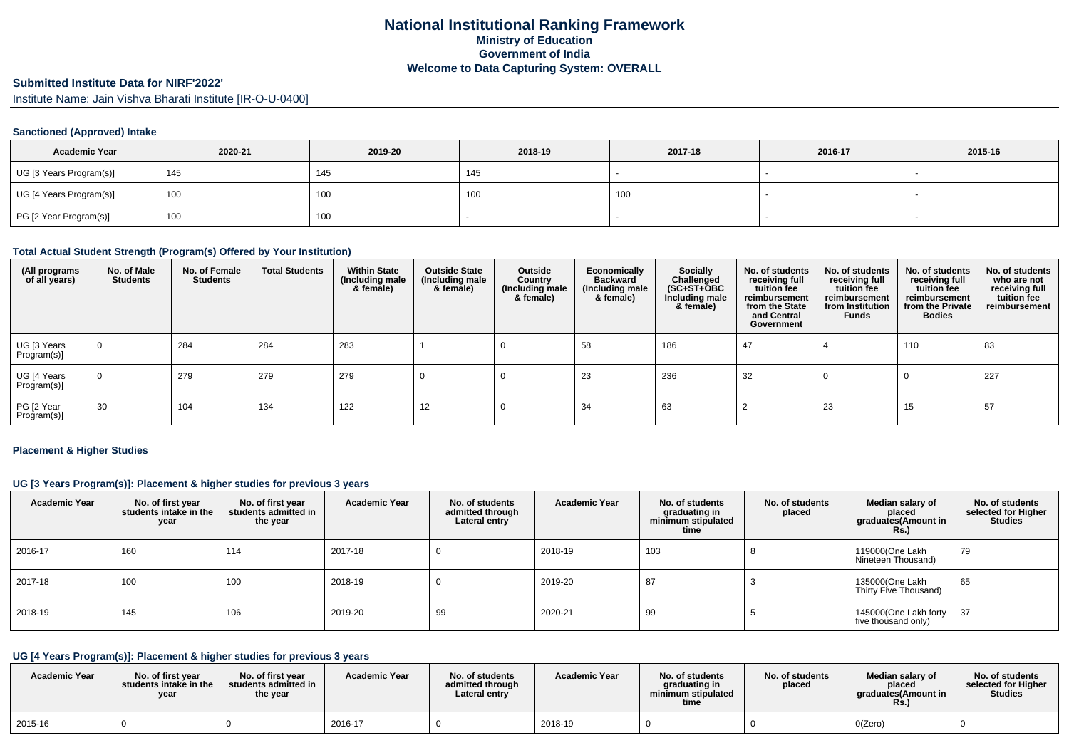# **Submitted Institute Data for NIRF'2022'**

Institute Name: Jain Vishva Bharati Institute [IR-O-U-0400]

## **Sanctioned (Approved) Intake**

| <b>Academic Year</b>    | 2020-21 | 2019-20 | 2018-19 | 2017-18 | 2016-17 | 2015-16 |
|-------------------------|---------|---------|---------|---------|---------|---------|
| UG [3 Years Program(s)] | 145     | 145     | 140     |         |         |         |
| UG [4 Years Program(s)] | 100     | 100     | 100     | 100     |         |         |
| PG [2 Year Program(s)]  | 100     | 100     |         |         |         |         |

## **Total Actual Student Strength (Program(s) Offered by Your Institution)**

| (All programs<br>of all years) | No. of Male<br><b>Students</b> | No. of Female<br><b>Students</b> | <b>Total Students</b> | <b>Within State</b><br>(Including male<br>& female) | <b>Outside State</b><br>(Including male<br>& female) | Outside<br>Country<br>(Including male<br>& female) | Economically<br><b>Backward</b><br>(Including male<br>& female) | Socially<br>Challenged<br>$(SC+ST+\overline{O}BC)$<br>Including male<br>& female) | No. of students<br>receiving full<br>tuition fee<br>reimbursement<br>from the State<br>and Central<br>Government | No. of students<br>receiving full<br>tuition fee<br>reimbursement<br>from Institution<br><b>Funds</b> | No. of students<br>receiving full<br>tuition fee<br>reimbursement<br>from the Private<br><b>Bodies</b> | No. of students<br>who are not<br>receiving full<br>tuition fee<br>reimbursement |
|--------------------------------|--------------------------------|----------------------------------|-----------------------|-----------------------------------------------------|------------------------------------------------------|----------------------------------------------------|-----------------------------------------------------------------|-----------------------------------------------------------------------------------|------------------------------------------------------------------------------------------------------------------|-------------------------------------------------------------------------------------------------------|--------------------------------------------------------------------------------------------------------|----------------------------------------------------------------------------------|
| UG [3 Years<br>Program(s)]     | $\mathbf 0$                    | 284                              | 284                   | 283                                                 |                                                      |                                                    | 58                                                              | 186                                                                               | 47                                                                                                               |                                                                                                       | 110                                                                                                    | 83                                                                               |
| UG [4 Years<br>Program(s)]     | $\mathbf 0$                    | 279                              | 279                   | 279                                                 |                                                      |                                                    | 23                                                              | 236                                                                               | 32                                                                                                               |                                                                                                       |                                                                                                        | 227                                                                              |
| PG [2 Year<br>Program(s)]      | 30                             | 104                              | 134                   | 122                                                 | 12                                                   |                                                    | 34                                                              | 63                                                                                |                                                                                                                  | 23                                                                                                    | 15                                                                                                     | 57                                                                               |

#### **Placement & Higher Studies**

## **UG [3 Years Program(s)]: Placement & higher studies for previous 3 years**

| <b>Academic Year</b> | No. of first year<br>students intake in the<br>year | No. of first year<br>students admitted in<br>the year | <b>Academic Year</b> | No. of students<br>admitted through<br>Lateral entry | <b>Academic Year</b> | No. of students<br>graduating in<br>minimum stipulated<br>time | No. of students<br>placed | Median salary of<br>placed<br>graduates(Amount in<br><b>Rs.)</b> | No. of students<br>selected for Higher<br><b>Studies</b> |
|----------------------|-----------------------------------------------------|-------------------------------------------------------|----------------------|------------------------------------------------------|----------------------|----------------------------------------------------------------|---------------------------|------------------------------------------------------------------|----------------------------------------------------------|
| 2016-17              | 160                                                 | 114                                                   | 2017-18              |                                                      | 2018-19              | 103                                                            |                           | 119000(One Lakh<br>Nineteen Thousand)                            | 79                                                       |
| 2017-18              | 100                                                 | 100                                                   | 2018-19              |                                                      | 2019-20              | 87                                                             |                           | 135000(One Lakh<br>Thirty Five Thousand)                         | 65                                                       |
| 2018-19              | 145                                                 | 106                                                   | 2019-20              | 99                                                   | 2020-21              | 99                                                             |                           | 145000(One Lakh forty<br>five thousand only)                     | 37                                                       |

# **UG [4 Years Program(s)]: Placement & higher studies for previous 3 years**

| <b>Academic Year</b> | No. of first vear<br>students intake in the<br>year | No. of first vear<br>students admitted in<br>the year | <b>Academic Year</b> | No. of students<br>admitted through<br>Lateral entry | <b>Academic Year</b> | No. of students<br>araduating in<br>minimum stipulated<br>time | No. of students<br>placed | Median salary of<br>placed<br>araduates(Amount in<br>Rs. | No. of students<br>selected for Higher<br><b>Studies</b> |
|----------------------|-----------------------------------------------------|-------------------------------------------------------|----------------------|------------------------------------------------------|----------------------|----------------------------------------------------------------|---------------------------|----------------------------------------------------------|----------------------------------------------------------|
| 2015-16              |                                                     |                                                       | 2016-17              |                                                      | 2018-19              |                                                                |                           | O(Zero)                                                  |                                                          |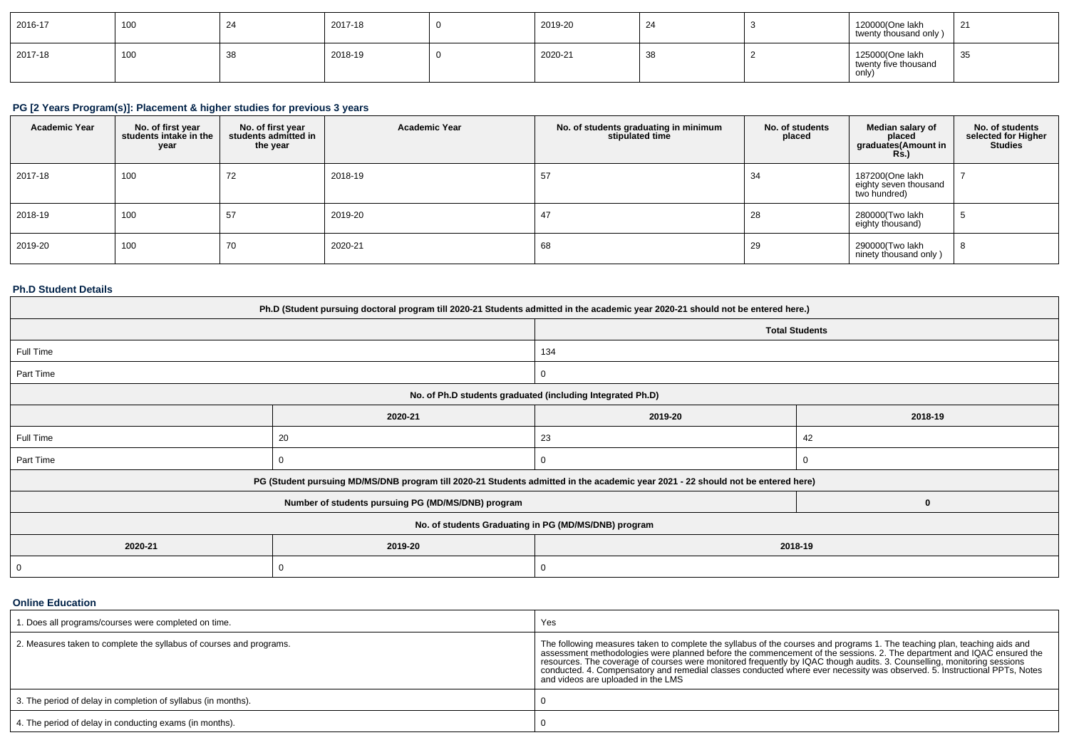| 2016-17 | 100 | 2017-18 | 2019-20 | 24 | 120000(One lakh<br>twenty thousand only)         | 21 |
|---------|-----|---------|---------|----|--------------------------------------------------|----|
| 2017-18 | 100 | 2018-19 | 2020-21 | 38 | 125000(One lakh<br>twenty five thousand<br>only, | 35 |

# **PG [2 Years Program(s)]: Placement & higher studies for previous 3 years**

| <b>Academic Year</b> | No. of first year<br>students intake in the<br>year | No. of first year<br>students admitted in<br>the year | <b>Academic Year</b> | No. of students graduating in minimum<br>stipulated time | No. of students<br>placed | Median salary of<br>placed<br>graduates(Amount in<br><b>Rs.)</b> | No. of students<br>selected for Higher<br><b>Studies</b> |
|----------------------|-----------------------------------------------------|-------------------------------------------------------|----------------------|----------------------------------------------------------|---------------------------|------------------------------------------------------------------|----------------------------------------------------------|
| 2017-18              | 100                                                 | 72                                                    | 2018-19              | 57                                                       | -34                       | 187200(One lakh<br>eighty seven thousand<br>two hundred)         |                                                          |
| 2018-19              | 100                                                 | 57                                                    | 2019-20              | 47                                                       | 28                        | 280000(Two lakh<br>eighty thousand)                              | $\sim$                                                   |
| 2019-20              | 100                                                 | 70                                                    | 2020-21              | 68                                                       | 29                        | 290000(Two lakh<br>ninety thousand only)                         | - 8                                                      |

## **Ph.D Student Details**

| Ph.D (Student pursuing doctoral program till 2020-21 Students admitted in the academic year 2020-21 should not be entered here.) |                                                                                                                                  |                       |         |  |  |  |
|----------------------------------------------------------------------------------------------------------------------------------|----------------------------------------------------------------------------------------------------------------------------------|-----------------------|---------|--|--|--|
|                                                                                                                                  |                                                                                                                                  | <b>Total Students</b> |         |  |  |  |
| Full Time                                                                                                                        |                                                                                                                                  | 134                   |         |  |  |  |
| Part Time                                                                                                                        |                                                                                                                                  | 0                     |         |  |  |  |
|                                                                                                                                  | No. of Ph.D students graduated (including Integrated Ph.D)                                                                       |                       |         |  |  |  |
|                                                                                                                                  | 2020-21                                                                                                                          | 2019-20               | 2018-19 |  |  |  |
| Full Time                                                                                                                        | 20                                                                                                                               | 23                    | 42      |  |  |  |
| Part Time                                                                                                                        |                                                                                                                                  |                       |         |  |  |  |
|                                                                                                                                  | PG (Student pursuing MD/MS/DNB program till 2020-21 Students admitted in the academic year 2021 - 22 should not be entered here) |                       |         |  |  |  |
|                                                                                                                                  | Number of students pursuing PG (MD/MS/DNB) program                                                                               |                       |         |  |  |  |
| No. of students Graduating in PG (MD/MS/DNB) program                                                                             |                                                                                                                                  |                       |         |  |  |  |
| 2020-21                                                                                                                          | 2019-20<br>2018-19                                                                                                               |                       |         |  |  |  |
| $\mathbf{0}$                                                                                                                     | $\Omega$                                                                                                                         |                       |         |  |  |  |

## **Online Education**

| 1. Does all programs/courses were completed on time.                | Yes                                                                                                                                                                                                                                                                                                                                                                                                                                                                                                                        |
|---------------------------------------------------------------------|----------------------------------------------------------------------------------------------------------------------------------------------------------------------------------------------------------------------------------------------------------------------------------------------------------------------------------------------------------------------------------------------------------------------------------------------------------------------------------------------------------------------------|
| 2. Measures taken to complete the syllabus of courses and programs. | The following measures taken to complete the syllabus of the courses and programs 1. The teaching plan, teaching aids and<br>assessment methodologies were planned before the commencement of the sessions. 2. The department and IQAC ensured the<br>resources. The coverage of courses were monitored frequently by IQAC though audits. 3. Counselling, monitoring sessions conducted. 4. Compensatory and remedial classes conducted where ever necessity was observed. 5. Instru<br>and videos are uploaded in the LMS |
| 3. The period of delay in completion of syllabus (in months).       |                                                                                                                                                                                                                                                                                                                                                                                                                                                                                                                            |
| 4. The period of delay in conducting exams (in months).             |                                                                                                                                                                                                                                                                                                                                                                                                                                                                                                                            |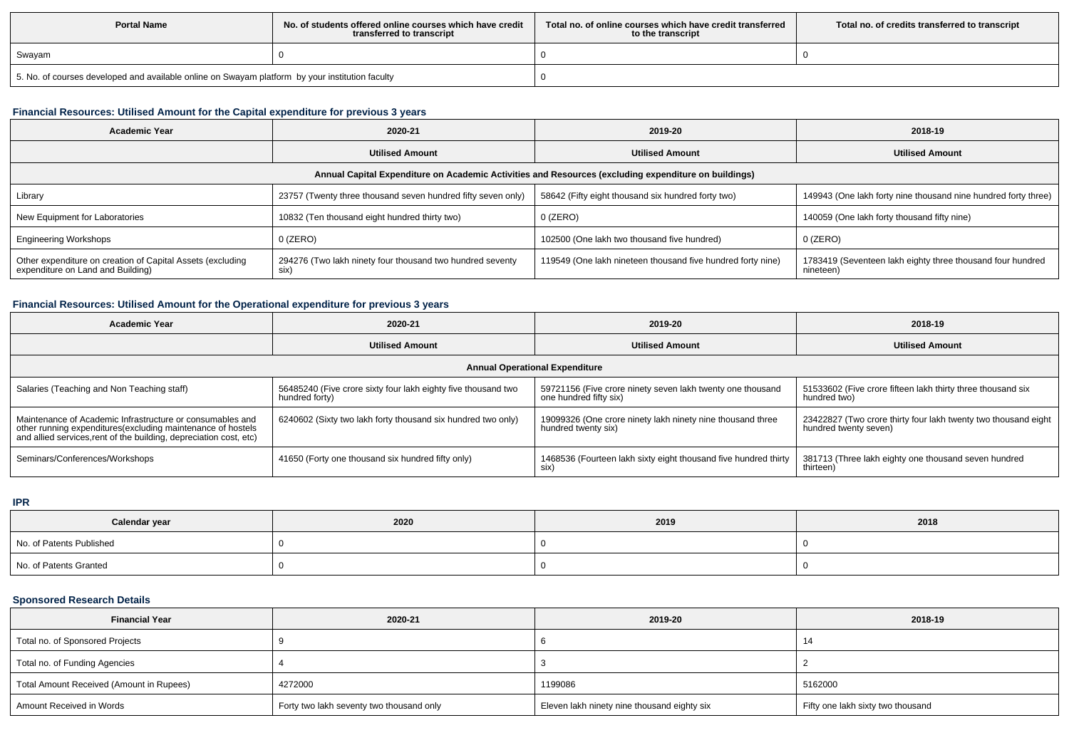| <b>Portal Name</b>                                                                              | No, of students offered online courses which have credit<br>transferred to transcript | Total no, of online courses which have credit transferred<br>to the transcript | Total no. of credits transferred to transcript |
|-------------------------------------------------------------------------------------------------|---------------------------------------------------------------------------------------|--------------------------------------------------------------------------------|------------------------------------------------|
| Swayam                                                                                          |                                                                                       |                                                                                |                                                |
| 5. No. of courses developed and available online on Swayam platform by your institution faculty |                                                                                       |                                                                                |                                                |

## **Financial Resources: Utilised Amount for the Capital expenditure for previous 3 years**

| <b>Academic Year</b>                                                                                 | 2020-21                                                           | 2019-20                                                     | 2018-19                                                                 |  |  |  |  |
|------------------------------------------------------------------------------------------------------|-------------------------------------------------------------------|-------------------------------------------------------------|-------------------------------------------------------------------------|--|--|--|--|
|                                                                                                      | <b>Utilised Amount</b>                                            | <b>Utilised Amount</b>                                      | <b>Utilised Amount</b>                                                  |  |  |  |  |
| Annual Capital Expenditure on Academic Activities and Resources (excluding expenditure on buildings) |                                                                   |                                                             |                                                                         |  |  |  |  |
| Library                                                                                              | 23757 (Twenty three thousand seven hundred fifty seven only)      | 58642 (Fifty eight thousand six hundred forty two)          | 149943 (One lakh forty nine thousand nine hundred forty three)          |  |  |  |  |
| New Equipment for Laboratories                                                                       | 10832 (Ten thousand eight hundred thirty two)                     | $0$ (ZERO)                                                  | 140059 (One lakh forty thousand fifty nine)                             |  |  |  |  |
| <b>Engineering Workshops</b>                                                                         | $0$ (ZERO)                                                        | 102500 (One lakh two thousand five hundred)                 | $0$ (ZERO)                                                              |  |  |  |  |
| Other expenditure on creation of Capital Assets (excluding<br>expenditure on Land and Building)      | 294276 (Two lakh ninety four thousand two hundred seventy<br>six) | 119549 (One lakh nineteen thousand five hundred forty nine) | 1783419 (Seventeen lakh eighty three thousand four hundred<br>nineteen) |  |  |  |  |

## **Financial Resources: Utilised Amount for the Operational expenditure for previous 3 years**

| <b>Academic Year</b>                                                                                                                                                                            | 2020-21                                                                         | 2019-20                                                                              | 2018-19                                                                                 |  |  |  |  |
|-------------------------------------------------------------------------------------------------------------------------------------------------------------------------------------------------|---------------------------------------------------------------------------------|--------------------------------------------------------------------------------------|-----------------------------------------------------------------------------------------|--|--|--|--|
|                                                                                                                                                                                                 | <b>Utilised Amount</b>                                                          |                                                                                      | <b>Utilised Amount</b>                                                                  |  |  |  |  |
| <b>Annual Operational Expenditure</b>                                                                                                                                                           |                                                                                 |                                                                                      |                                                                                         |  |  |  |  |
| Salaries (Teaching and Non Teaching staff)                                                                                                                                                      | 56485240 (Five crore sixty four lakh eighty five thousand two<br>hundred forty) | 59721156 (Five crore ninety seven lakh twenty one thousand<br>one hundred fifty six) | 51533602 (Five crore fifteen lakh thirty three thousand six<br>hundred two)             |  |  |  |  |
| Maintenance of Academic Infrastructure or consumables and<br>other running expenditures (excluding maintenance of hostels<br>and allied services, rent of the building, depreciation cost, etc) | 6240602 (Sixty two lakh forty thousand six hundred two only)                    | 19099326 (One crore ninety lakh ninety nine thousand three<br>hundred twenty six)    | 23422827 (Two crore thirty four lakh twenty two thousand eight<br>hundred twenty seven) |  |  |  |  |
| Seminars/Conferences/Workshops                                                                                                                                                                  | 41650 (Forty one thousand six hundred fifty only)                               | 1468536 (Fourteen lakh sixty eight thousand five hundred thirty<br>six)              | 381713 (Three lakh eighty one thousand seven hundred<br>thirteen)                       |  |  |  |  |

#### **IPR**

| Calendar year            | 2020 | 2019 | 2018 |
|--------------------------|------|------|------|
| No. of Patents Published |      |      |      |
| No. of Patents Granted   |      |      |      |

## **Sponsored Research Details**

| <b>Financial Year</b>                    | 2020-21                                  | 2019-20                                     | 2018-19                           |
|------------------------------------------|------------------------------------------|---------------------------------------------|-----------------------------------|
| Total no. of Sponsored Projects          |                                          |                                             |                                   |
| Total no. of Funding Agencies            |                                          |                                             |                                   |
| Total Amount Received (Amount in Rupees) | 4272000                                  | 1199086                                     | 5162000                           |
| Amount Received in Words                 | Forty two lakh seventy two thousand only | Eleven lakh ninety nine thousand eighty six | Fifty one lakh sixty two thousand |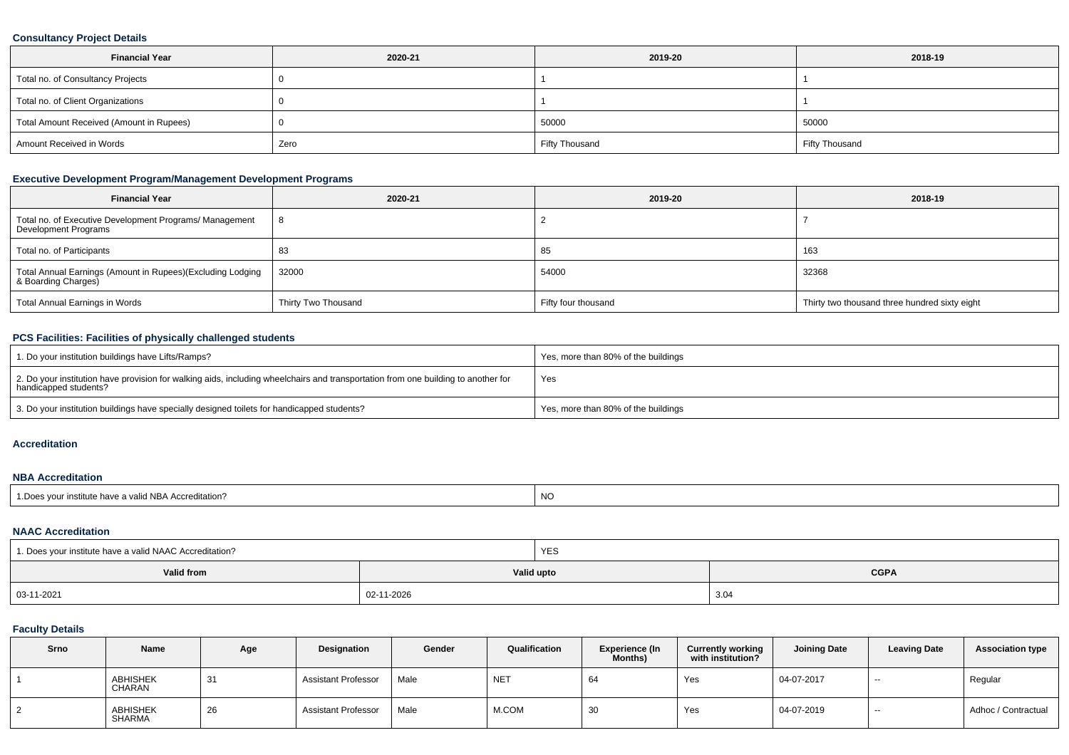## **Consultancy Project Details**

| <b>Financial Year</b>                    | 2020-21 | 2019-20               | 2018-19               |
|------------------------------------------|---------|-----------------------|-----------------------|
| Total no. of Consultancy Projects        |         |                       |                       |
| Total no. of Client Organizations        |         |                       |                       |
| Total Amount Received (Amount in Rupees) |         | 50000                 | 50000                 |
| Amount Received in Words                 | Zero    | <b>Fifty Thousand</b> | <b>Fifty Thousand</b> |

## **Executive Development Program/Management Development Programs**

| <b>Financial Year</b>                                                             | 2020-21             | 2019-20             | 2018-19                                       |
|-----------------------------------------------------------------------------------|---------------------|---------------------|-----------------------------------------------|
| Total no. of Executive Development Programs/ Management<br>Development Programs   |                     |                     |                                               |
| Total no. of Participants                                                         | 83                  | 85                  | 163                                           |
| Total Annual Earnings (Amount in Rupees)(Excluding Lodging<br>& Boarding Charges) | 32000               | 54000               | 32368                                         |
| <b>Total Annual Earnings in Words</b>                                             | Thirty Two Thousand | Fifty four thousand | Thirty two thousand three hundred sixty eight |

## **PCS Facilities: Facilities of physically challenged students**

| 1. Do your institution buildings have Lifts/Ramps?                                                                                                         | Yes, more than 80% of the buildings |
|------------------------------------------------------------------------------------------------------------------------------------------------------------|-------------------------------------|
| 2. Do your institution have provision for walking aids, including wheelchairs and transportation from one building to another for<br>handicapped students? | Yes                                 |
| 3. Do your institution buildings have specially designed toilets for handicapped students?                                                                 | Yes, more than 80% of the buildings |

#### **Accreditation**

#### **NBA Accreditation**

| <b>NO</b><br>$H = 1.104$<br>valid NBA Accreditation?<br>institute nave |  |
|------------------------------------------------------------------------|--|
|------------------------------------------------------------------------|--|

## **NAAC Accreditation**

| 1. Does your institute have a valid NAAC Accreditation? |            | <b>YES</b>                |      |  |  |
|---------------------------------------------------------|------------|---------------------------|------|--|--|
| Valid from                                              |            | <b>CGPA</b><br>Valid upto |      |  |  |
| $  03 - 11 - 2021$                                      | 02-11-2026 |                           | 3.04 |  |  |

## **Faculty Details**

| Srno | Name               | Age | Designation                | Gender | Qualification   | <b>Experience (In</b><br><b>Months)</b> | <b>Currently working</b><br>with institution? | <b>Joining Date</b> | <b>Leaving Date</b> | <b>Association type</b> |
|------|--------------------|-----|----------------------------|--------|-----------------|-----------------------------------------|-----------------------------------------------|---------------------|---------------------|-------------------------|
|      | ABHISHEK<br>CHARAN | 31  | <b>Assistant Professor</b> | Male   | NE <sub>1</sub> | 64                                      | Yes                                           | 04-07-2017          | $- -$               | Regular                 |
|      | ABHISHEK<br>SHARMA | 26  | <b>Assistant Professor</b> | Male   | M.COM           | 30                                      | Yes                                           | 04-07-2019          | $ -$                | Adhoc / Contractual     |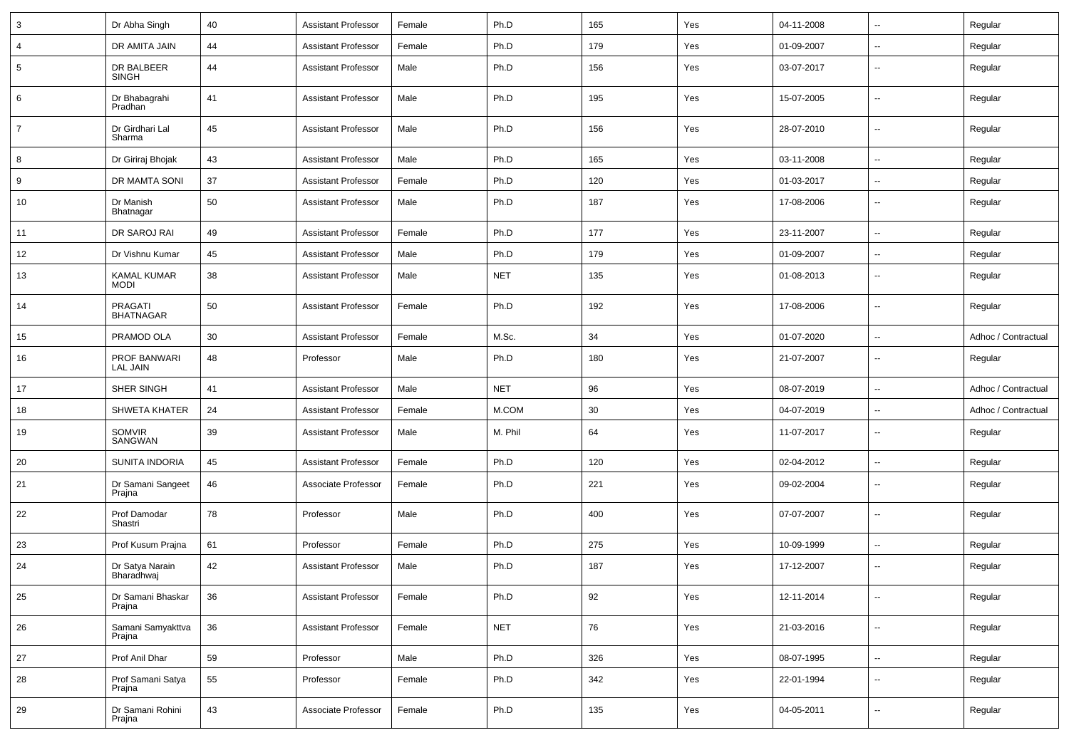| 3              | Dr Abha Singh                      | 40 | <b>Assistant Professor</b> | Female | Ph.D       | 165 | Yes | 04-11-2008 | $\overline{\phantom{a}}$ | Regular             |
|----------------|------------------------------------|----|----------------------------|--------|------------|-----|-----|------------|--------------------------|---------------------|
| 4              | DR AMITA JAIN                      | 44 | <b>Assistant Professor</b> | Female | Ph.D       | 179 | Yes | 01-09-2007 | $\overline{a}$           | Regular             |
| 5              | DR BALBEER<br>SINGH                | 44 | <b>Assistant Professor</b> | Male   | Ph.D       | 156 | Yes | 03-07-2017 | ۰.                       | Regular             |
| 6              | Dr Bhabagrahi<br>Pradhan           | 41 | <b>Assistant Professor</b> | Male   | Ph.D       | 195 | Yes | 15-07-2005 | ۰.                       | Regular             |
| $\overline{7}$ | Dr Girdhari Lal<br>Sharma          | 45 | <b>Assistant Professor</b> | Male   | Ph.D       | 156 | Yes | 28-07-2010 | $\overline{\phantom{a}}$ | Regular             |
| 8              | Dr Giriraj Bhojak                  | 43 | <b>Assistant Professor</b> | Male   | Ph.D       | 165 | Yes | 03-11-2008 | --                       | Regular             |
| 9              | DR MAMTA SONI                      | 37 | <b>Assistant Professor</b> | Female | Ph.D       | 120 | Yes | 01-03-2017 | ۰.                       | Regular             |
| 10             | Dr Manish<br>Bhatnagar             | 50 | <b>Assistant Professor</b> | Male   | Ph.D       | 187 | Yes | 17-08-2006 | $\overline{\phantom{a}}$ | Regular             |
| 11             | DR SAROJ RAI                       | 49 | <b>Assistant Professor</b> | Female | Ph.D       | 177 | Yes | 23-11-2007 | u.                       | Regular             |
| 12             | Dr Vishnu Kumar                    | 45 | <b>Assistant Professor</b> | Male   | Ph.D       | 179 | Yes | 01-09-2007 | $\overline{\phantom{a}}$ | Regular             |
| 13             | <b>KAMAL KUMAR</b><br><b>MODI</b>  | 38 | <b>Assistant Professor</b> | Male   | <b>NET</b> | 135 | Yes | 01-08-2013 | ۰.                       | Regular             |
| 14             | <b>PRAGATI</b><br><b>BHATNAGAR</b> | 50 | <b>Assistant Professor</b> | Female | Ph.D       | 192 | Yes | 17-08-2006 | $\overline{\phantom{a}}$ | Regular             |
| 15             | PRAMOD OLA                         | 30 | <b>Assistant Professor</b> | Female | M.Sc.      | 34  | Yes | 01-07-2020 | u.                       | Adhoc / Contractual |
| 16             | PROF BANWARI<br><b>LAL JAIN</b>    | 48 | Professor                  | Male   | Ph.D       | 180 | Yes | 21-07-2007 | ۰.                       | Regular             |
| 17             | SHER SINGH                         | 41 | <b>Assistant Professor</b> | Male   | <b>NET</b> | 96  | Yes | 08-07-2019 | $\overline{a}$           | Adhoc / Contractual |
| 18             | <b>SHWETA KHATER</b>               | 24 | <b>Assistant Professor</b> | Female | M.COM      | 30  | Yes | 04-07-2019 | $\overline{\phantom{a}}$ | Adhoc / Contractual |
| 19             | SOMVIR<br>SANGWAN                  | 39 | <b>Assistant Professor</b> | Male   | M. Phil    | 64  | Yes | 11-07-2017 | ۰.                       | Regular             |
| 20             | SUNITA INDORIA                     | 45 | <b>Assistant Professor</b> | Female | Ph.D       | 120 | Yes | 02-04-2012 | $\overline{\phantom{a}}$ | Regular             |
| 21             | Dr Samani Sangeet<br>Prajna        | 46 | Associate Professor        | Female | Ph.D       | 221 | Yes | 09-02-2004 | $\overline{\phantom{a}}$ | Regular             |
| 22             | Prof Damodar<br>Shastri            | 78 | Professor                  | Male   | Ph.D       | 400 | Yes | 07-07-2007 | $\overline{a}$           | Regular             |
| 23             | Prof Kusum Prajna                  | 61 | Professor                  | Female | Ph.D       | 275 | Yes | 10-09-1999 | $\overline{\phantom{a}}$ | Regular             |
| 24             | Dr Satya Narain<br>Bharadhwaj      | 42 | <b>Assistant Professor</b> | Male   | Ph.D       | 187 | Yes | 17-12-2007 | $\overline{\phantom{a}}$ | Regular             |
| 25             | Dr Samani Bhaskar<br>Prajna        | 36 | <b>Assistant Professor</b> | Female | Ph.D       | 92  | Yes | 12-11-2014 | $\overline{\phantom{a}}$ | Regular             |
| 26             | Samani Samyakttva<br>Prajna        | 36 | <b>Assistant Professor</b> | Female | <b>NET</b> | 76  | Yes | 21-03-2016 | $\sim$                   | Regular             |
| 27             | Prof Anil Dhar                     | 59 | Professor                  | Male   | Ph.D       | 326 | Yes | 08-07-1995 | ц.                       | Regular             |
| 28             | Prof Samani Satya<br>Prajna        | 55 | Professor                  | Female | Ph.D       | 342 | Yes | 22-01-1994 | Ξ.                       | Regular             |
| 29             | Dr Samani Rohini<br>Prajna         | 43 | Associate Professor        | Female | Ph.D       | 135 | Yes | 04-05-2011 | Ξ.                       | Regular             |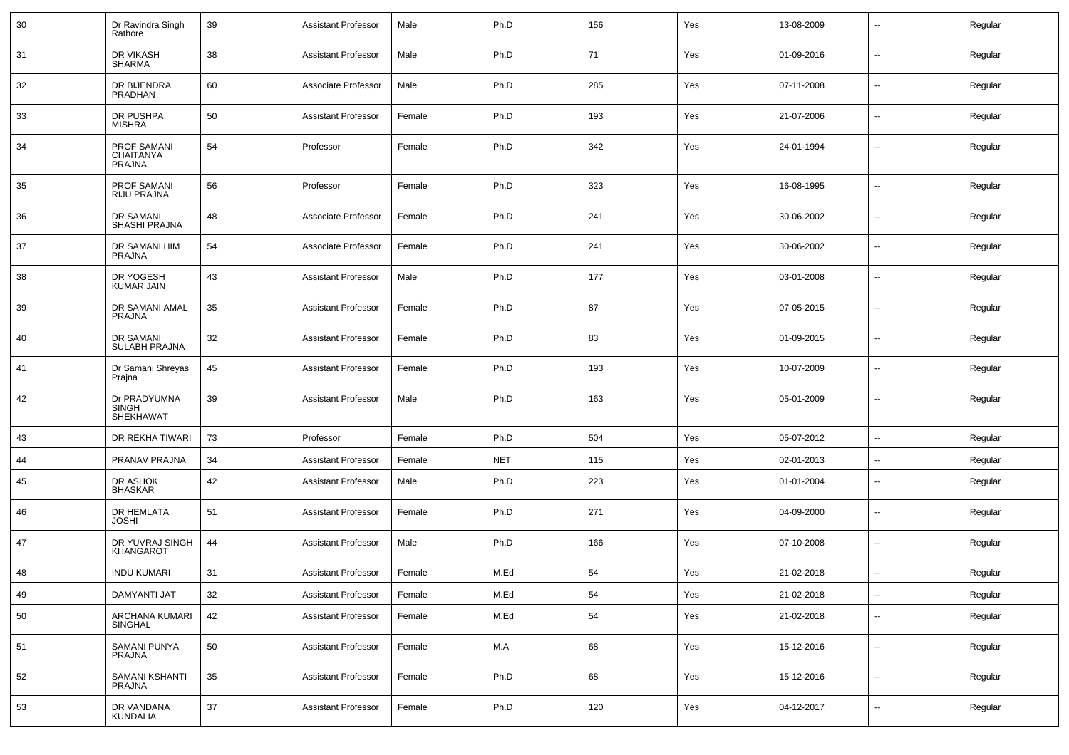| 30 | Dr Ravindra Singh<br>Rathore                     | 39 | <b>Assistant Professor</b> | Male   | Ph.D       | 156 | Yes | 13-08-2009 |                          | Regular |
|----|--------------------------------------------------|----|----------------------------|--------|------------|-----|-----|------------|--------------------------|---------|
| 31 | DR VIKASH<br>SHARMA                              | 38 | <b>Assistant Professor</b> | Male   | Ph.D       | 71  | Yes | 01-09-2016 | $\overline{\phantom{a}}$ | Regular |
| 32 | DR BIJENDRA<br><b>PRADHAN</b>                    | 60 | Associate Professor        | Male   | Ph.D       | 285 | Yes | 07-11-2008 | $\mathbf{u}$             | Regular |
| 33 | DR PUSHPA<br><b>MISHRA</b>                       | 50 | <b>Assistant Professor</b> | Female | Ph.D       | 193 | Yes | 21-07-2006 | $\overline{\phantom{a}}$ | Regular |
| 34 | PROF SAMANI<br><b>CHAITANYA</b><br><b>PRAJNA</b> | 54 | Professor                  | Female | Ph.D       | 342 | Yes | 24-01-1994 | --                       | Regular |
| 35 | <b>PROF SAMANI</b><br>RIJU PRAJNA                | 56 | Professor                  | Female | Ph.D       | 323 | Yes | 16-08-1995 | $\overline{\phantom{a}}$ | Regular |
| 36 | DR SAMANI<br>SHASHI PRAJNA                       | 48 | Associate Professor        | Female | Ph.D       | 241 | Yes | 30-06-2002 | $\sim$                   | Regular |
| 37 | DR SAMANI HIM<br><b>PRAJNA</b>                   | 54 | Associate Professor        | Female | Ph.D       | 241 | Yes | 30-06-2002 | $\overline{\phantom{a}}$ | Regular |
| 38 | DR YOGESH<br><b>KUMAR JAIN</b>                   | 43 | <b>Assistant Professor</b> | Male   | Ph.D       | 177 | Yes | 03-01-2008 | $\sim$                   | Regular |
| 39 | <b>DR SAMANI AMAL</b><br><b>PRAJNA</b>           | 35 | <b>Assistant Professor</b> | Female | Ph.D       | 87  | Yes | 07-05-2015 | $\sim$                   | Regular |
| 40 | DR SAMANI<br><b>SULABH PRAJNA</b>                | 32 | <b>Assistant Professor</b> | Female | Ph.D       | 83  | Yes | 01-09-2015 | $\overline{\phantom{a}}$ | Regular |
| 41 | Dr Samani Shreyas<br>Prajna                      | 45 | <b>Assistant Professor</b> | Female | Ph.D       | 193 | Yes | 10-07-2009 | $\sim$                   | Regular |
| 42 | Dr PRADYUMNA<br><b>SINGH</b><br><b>SHEKHAWAT</b> | 39 | <b>Assistant Professor</b> | Male   | Ph.D       | 163 | Yes | 05-01-2009 | $\overline{\phantom{a}}$ | Regular |
| 43 | DR REKHA TIWARI                                  | 73 | Professor                  | Female | Ph.D       | 504 | Yes | 05-07-2012 | $\overline{a}$           | Regular |
| 44 | PRANAV PRAJNA                                    | 34 | <b>Assistant Professor</b> | Female | <b>NET</b> | 115 | Yes | 02-01-2013 | $\sim$                   | Regular |
| 45 | DR ASHOK<br><b>BHASKAR</b>                       | 42 | <b>Assistant Professor</b> | Male   | Ph.D       | 223 | Yes | 01-01-2004 | $\overline{\phantom{a}}$ | Regular |
| 46 | DR HEMLATA<br><b>JOSHI</b>                       | 51 | <b>Assistant Professor</b> | Female | Ph.D       | 271 | Yes | 04-09-2000 | $\mathbf{u}$             | Regular |
| 47 | DR YUVRAJ SINGH<br><b>KHANGAROT</b>              | 44 | <b>Assistant Professor</b> | Male   | Ph.D       | 166 | Yes | 07-10-2008 | $\overline{\phantom{a}}$ | Regular |
| 48 | <b>INDU KUMARI</b>                               | 31 | <b>Assistant Professor</b> | Female | M.Ed       | 54  | Yes | 21-02-2018 |                          | Regular |
| 49 | <b>DAMYANTI JAT</b>                              | 32 | <b>Assistant Professor</b> | Female | M.Ed       | 54  | Yes | 21-02-2018 | $\overline{\phantom{a}}$ | Regular |
| 50 | ARCHANA KUMARI<br>SINGHAL                        | 42 | <b>Assistant Professor</b> | Female | M.Ed       | 54  | Yes | 21-02-2018 | $\overline{\phantom{a}}$ | Regular |
| 51 | SAMANI PUNYA<br>PRAJNA                           | 50 | <b>Assistant Professor</b> | Female | M.A        | 68  | Yes | 15-12-2016 | $\overline{\phantom{a}}$ | Regular |
| 52 | SAMANI KSHANTI<br>PRAJNA                         | 35 | <b>Assistant Professor</b> | Female | Ph.D       | 68  | Yes | 15-12-2016 | $\overline{\phantom{a}}$ | Regular |
| 53 | DR VANDANA<br><b>KUNDALIA</b>                    | 37 | <b>Assistant Professor</b> | Female | Ph.D       | 120 | Yes | 04-12-2017 | $\overline{\phantom{a}}$ | Regular |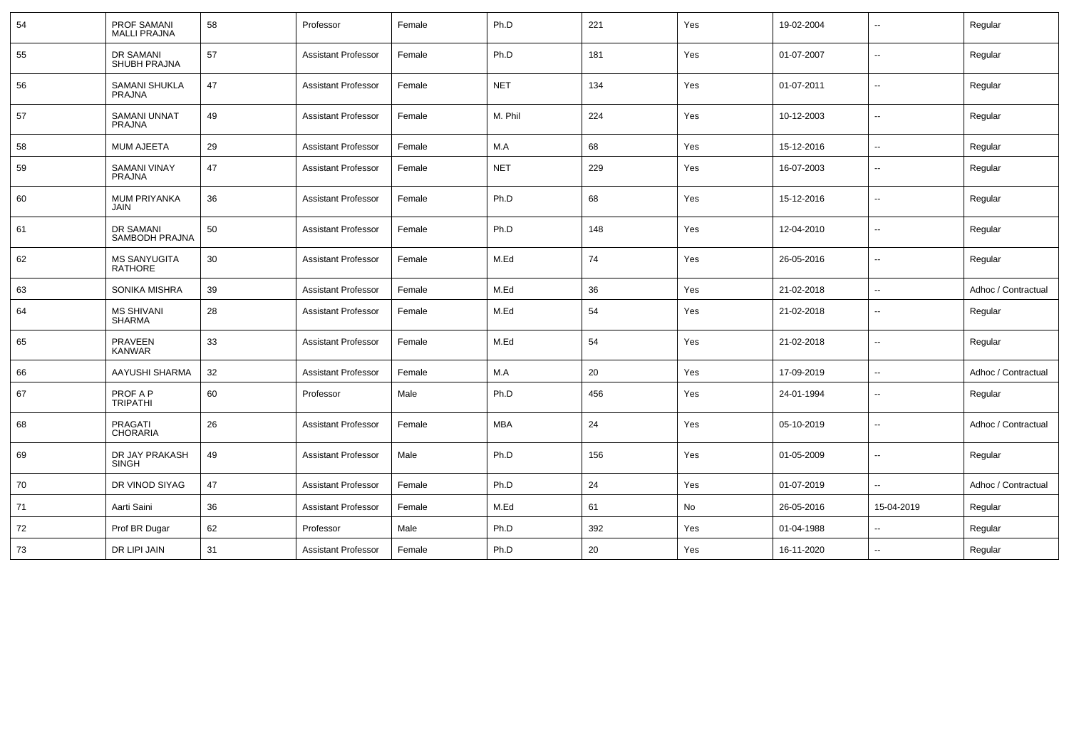| 54 | <b>PROF SAMANI</b><br><b>MALLI PRAJNA</b> | 58 | Professor                  | Female | Ph.D       | 221 | Yes | 19-02-2004 | $\overline{a}$           | Regular             |
|----|-------------------------------------------|----|----------------------------|--------|------------|-----|-----|------------|--------------------------|---------------------|
| 55 | DR SAMANI<br>SHUBH PRAJNA                 | 57 | <b>Assistant Professor</b> | Female | Ph.D       | 181 | Yes | 01-07-2007 | $\overline{\phantom{a}}$ | Regular             |
| 56 | <b>SAMANI SHUKLA</b><br><b>PRAJNA</b>     | 47 | <b>Assistant Professor</b> | Female | <b>NET</b> | 134 | Yes | 01-07-2011 | $\overline{\phantom{a}}$ | Regular             |
| 57 | <b>SAMANI UNNAT</b><br><b>PRAJNA</b>      | 49 | <b>Assistant Professor</b> | Female | M. Phil    | 224 | Yes | 10-12-2003 | $\overline{a}$           | Regular             |
| 58 | <b>MUM AJEETA</b>                         | 29 | <b>Assistant Professor</b> | Female | M.A        | 68  | Yes | 15-12-2016 | --                       | Regular             |
| 59 | <b>SAMANI VINAY</b><br><b>PRAJNA</b>      | 47 | <b>Assistant Professor</b> | Female | <b>NET</b> | 229 | Yes | 16-07-2003 | $\overline{a}$           | Regular             |
| 60 | <b>MUM PRIYANKA</b><br><b>JAIN</b>        | 36 | <b>Assistant Professor</b> | Female | Ph.D       | 68  | Yes | 15-12-2016 | $\overline{a}$           | Regular             |
| 61 | DR SAMANI<br>SAMBODH PRAJNA               | 50 | <b>Assistant Professor</b> | Female | Ph.D       | 148 | Yes | 12-04-2010 | $\overline{a}$           | Regular             |
| 62 | <b>MS SANYUGITA</b><br><b>RATHORE</b>     | 30 | <b>Assistant Professor</b> | Female | M.Ed       | 74  | Yes | 26-05-2016 | u.                       | Regular             |
| 63 | <b>SONIKA MISHRA</b>                      | 39 | <b>Assistant Professor</b> | Female | M.Ed       | 36  | Yes | 21-02-2018 | $\overline{a}$           | Adhoc / Contractual |
| 64 | <b>MS SHIVANI</b><br>SHARMA               | 28 | <b>Assistant Professor</b> | Female | M.Ed       | 54  | Yes | 21-02-2018 | $\overline{a}$           | Regular             |
| 65 | <b>PRAVEEN</b><br><b>KANWAR</b>           | 33 | <b>Assistant Professor</b> | Female | M.Ed       | 54  | Yes | 21-02-2018 | $\overline{a}$           | Regular             |
| 66 | AAYUSHI SHARMA                            | 32 | <b>Assistant Professor</b> | Female | M.A        | 20  | Yes | 17-09-2019 | ۰.                       | Adhoc / Contractual |
| 67 | PROF A P<br><b>TRIPATHI</b>               | 60 | Professor                  | Male   | Ph.D       | 456 | Yes | 24-01-1994 | ۰.                       | Regular             |
| 68 | <b>PRAGATI</b><br><b>CHORARIA</b>         | 26 | <b>Assistant Professor</b> | Female | <b>MBA</b> | 24  | Yes | 05-10-2019 | $\overline{a}$           | Adhoc / Contractual |
| 69 | DR JAY PRAKASH<br><b>SINGH</b>            | 49 | <b>Assistant Professor</b> | Male   | Ph.D       | 156 | Yes | 01-05-2009 | $\overline{a}$           | Regular             |
| 70 | DR VINOD SIYAG                            | 47 | <b>Assistant Professor</b> | Female | Ph.D       | 24  | Yes | 01-07-2019 | $\overline{a}$           | Adhoc / Contractual |
| 71 | Aarti Saini                               | 36 | <b>Assistant Professor</b> | Female | M.Ed       | 61  | No  | 26-05-2016 | 15-04-2019               | Regular             |
| 72 | Prof BR Dugar                             | 62 | Professor                  | Male   | Ph.D       | 392 | Yes | 01-04-1988 | u.                       | Regular             |
| 73 | DR LIPI JAIN                              | 31 | <b>Assistant Professor</b> | Female | Ph.D       | 20  | Yes | 16-11-2020 |                          | Regular             |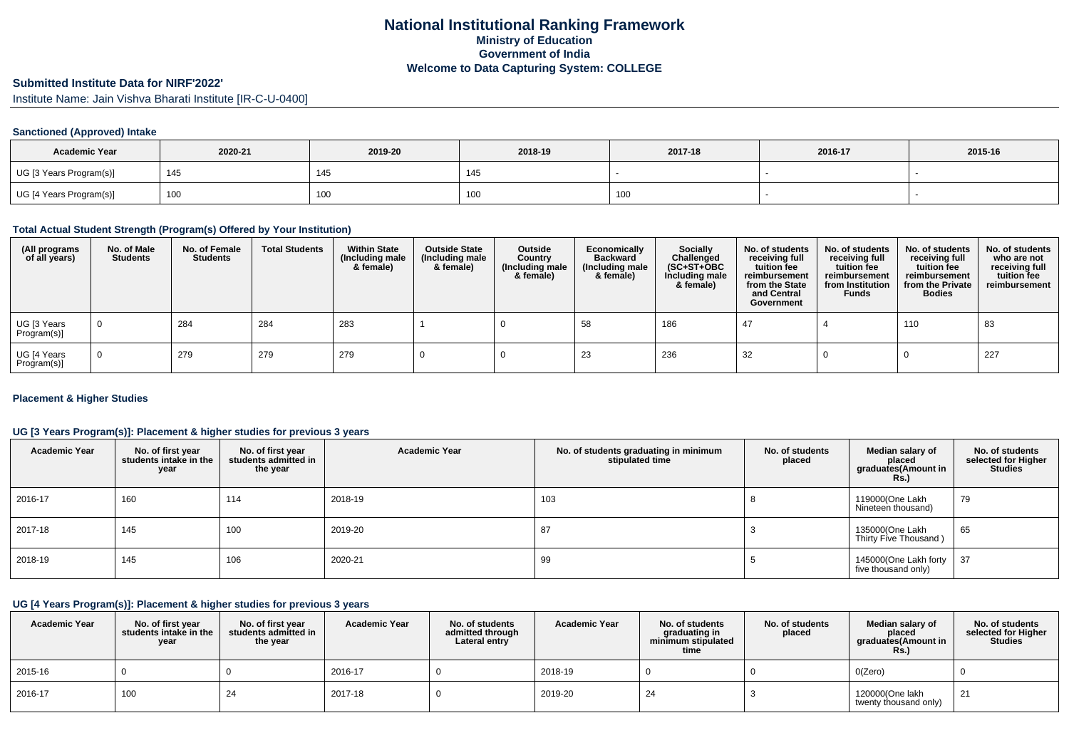# **Submitted Institute Data for NIRF'2022'**

Institute Name: Jain Vishva Bharati Institute [IR-C-U-0400]

## **Sanctioned (Approved) Intake**

| <b>Academic Year</b>    | 2020-21 | 2019-20 | 2018-19 | 2017-18 | 2016-17 | 2015-16 |
|-------------------------|---------|---------|---------|---------|---------|---------|
| UG [3 Years Program(s)] | 145     | 145     | - 140   |         |         |         |
| UG [4 Years Program(s)] | 100     | 100     | TUU     | 100     |         |         |

## **Total Actual Student Strength (Program(s) Offered by Your Institution)**

| (All programs<br>of all years) | No. of Male<br><b>Students</b> | No. of Female<br><b>Students</b> | <b>Total Students</b> | <b>Within State</b><br>(Including male<br>& female) | <b>Outside State</b><br>(Including male<br>& female) | Outside<br>Country<br>(Including male<br>& female) | Economically<br><b>Backward</b><br>(Including male<br>& female) | <b>Socially</b><br>Challenged<br>$(SC+ST+OBC)$<br>Including male<br>& female) | No. of students<br>receiving full<br>tuition fee<br>reimbursement<br>from the State<br>and Central<br>Government | No. of students<br>receiving full<br>tuition fee<br>reimbursement<br>from Institution<br><b>Funds</b> | No. of students<br>receiving full<br>tuition fee<br>reimbursement<br>from the Private<br><b>Bodies</b> | No. of students<br>who are not<br>receiving full<br>tuition fee<br>reimbursement |
|--------------------------------|--------------------------------|----------------------------------|-----------------------|-----------------------------------------------------|------------------------------------------------------|----------------------------------------------------|-----------------------------------------------------------------|-------------------------------------------------------------------------------|------------------------------------------------------------------------------------------------------------------|-------------------------------------------------------------------------------------------------------|--------------------------------------------------------------------------------------------------------|----------------------------------------------------------------------------------|
| UG [3 Years<br>Program(s)]     |                                | 284                              | 284                   | 283                                                 |                                                      |                                                    | 58                                                              | 186                                                                           | -47                                                                                                              |                                                                                                       | 110                                                                                                    | 83                                                                               |
| UG [4 Years<br>Program(s)]     |                                | 279                              | 279                   | 279                                                 |                                                      |                                                    | 23                                                              | 236                                                                           | 32                                                                                                               |                                                                                                       |                                                                                                        | 227                                                                              |

## **Placement & Higher Studies**

## **UG [3 Years Program(s)]: Placement & higher studies for previous 3 years**

| <b>Academic Year</b> | No. of first year<br>students intake in the<br>year | No. of first year<br>students admitted in<br>the year | <b>Academic Year</b> | No. of students graduating in minimum<br>stipulated time | No. of students<br>placed | Median salary of<br>placed<br>graduates(Amount in<br>Rs.) | No. of students<br>selected for Higher<br><b>Studies</b> |
|----------------------|-----------------------------------------------------|-------------------------------------------------------|----------------------|----------------------------------------------------------|---------------------------|-----------------------------------------------------------|----------------------------------------------------------|
| 2016-17              | 160                                                 | 114                                                   | 2018-19              | 103                                                      |                           | 119000(One Lakh<br>Nineteen thousand)                     | 79                                                       |
| 2017-18              | 145                                                 | 100                                                   | 2019-20              | 87                                                       |                           | 135000(One Lakh<br>Thirty Five Thousand)                  | 65                                                       |
| 2018-19              | 145                                                 | 106                                                   | 2020-21              | 99                                                       |                           | 145000(One Lakh forty<br>five thousand only)              | 37                                                       |

## **UG [4 Years Program(s)]: Placement & higher studies for previous 3 years**

| <b>Academic Year</b> | No. of first year<br>students intake in the<br>year | No. of first vear<br>students admitted in<br>the year | <b>Academic Year</b> | No. of students<br>admitted through<br>Lateral entry | <b>Academic Year</b> | No. of students<br>graduating in<br>minimum stipulated<br>time | No. of students<br>placed | Median salary of<br>placed<br>graduates(Amount in<br><b>Rs.)</b> | No. of students<br>selected for Higher<br><b>Studies</b> |
|----------------------|-----------------------------------------------------|-------------------------------------------------------|----------------------|------------------------------------------------------|----------------------|----------------------------------------------------------------|---------------------------|------------------------------------------------------------------|----------------------------------------------------------|
| 2015-16              |                                                     |                                                       | 2016-17              |                                                      | 2018-19              |                                                                |                           | O(Zero)                                                          |                                                          |
| 2016-17              | 100                                                 | 24                                                    | 2017-18              |                                                      | 2019-20              | 24                                                             |                           | 120000(One lakh<br>twenty thousand only)                         | 21                                                       |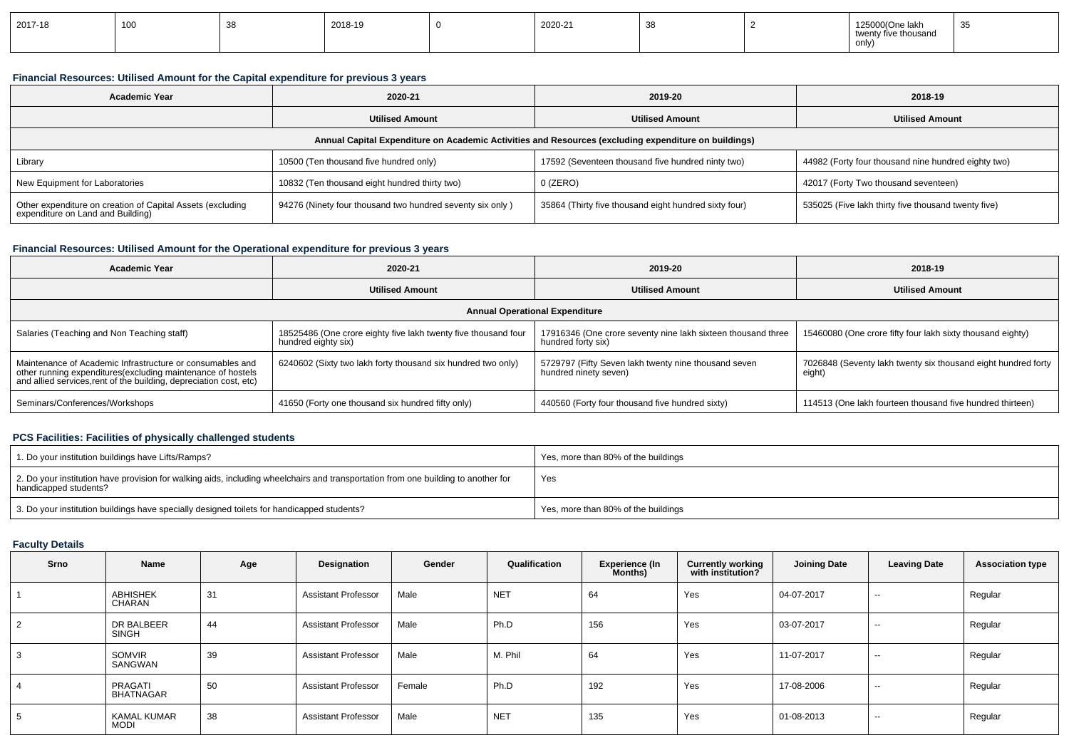| 2017-18 | 100 |  | 2018-19 |  | 2020-21 | $\sim$ |  | 1250<br>J0(One lakh<br>וכ∠ו<br>ive thousand<br>twen <sup>+</sup><br>only | $\sim$ $\sim$<br>ັບພ |
|---------|-----|--|---------|--|---------|--------|--|--------------------------------------------------------------------------|----------------------|
|---------|-----|--|---------|--|---------|--------|--|--------------------------------------------------------------------------|----------------------|

## **Financial Resources: Utilised Amount for the Capital expenditure for previous 3 years**

| <b>Academic Year</b>                                                                                 | 2020-21                                                   | 2019-20                                               | 2018-19                                             |  |  |  |  |  |  |
|------------------------------------------------------------------------------------------------------|-----------------------------------------------------------|-------------------------------------------------------|-----------------------------------------------------|--|--|--|--|--|--|
|                                                                                                      | <b>Utilised Amount</b>                                    | <b>Utilised Amount</b>                                | <b>Utilised Amount</b>                              |  |  |  |  |  |  |
| Annual Capital Expenditure on Academic Activities and Resources (excluding expenditure on buildings) |                                                           |                                                       |                                                     |  |  |  |  |  |  |
| Library                                                                                              | 10500 (Ten thousand five hundred only)                    | 17592 (Seventeen thousand five hundred ninty two)     | 44982 (Forty four thousand nine hundred eighty two) |  |  |  |  |  |  |
| New Equipment for Laboratories                                                                       | 10832 (Ten thousand eight hundred thirty two)             | $0$ (ZERO)                                            | 42017 (Forty Two thousand seventeen)                |  |  |  |  |  |  |
| Other expenditure on creation of Capital Assets (excluding<br>expenditure on Land and Building)      | 94276 (Ninety four thousand two hundred seventy six only) | 35864 (Thirty five thousand eight hundred sixty four) | 535025 (Five lakh thirty five thousand twenty five) |  |  |  |  |  |  |

## **Financial Resources: Utilised Amount for the Operational expenditure for previous 3 years**

| <b>Academic Year</b>                                                                                                                                                                            | 2020-21                                                                               |                                                                                    | 2018-19                                                                 |  |  |  |  |  |  |
|-------------------------------------------------------------------------------------------------------------------------------------------------------------------------------------------------|---------------------------------------------------------------------------------------|------------------------------------------------------------------------------------|-------------------------------------------------------------------------|--|--|--|--|--|--|
| <b>Utilised Amount</b>                                                                                                                                                                          |                                                                                       | <b>Utilised Amount</b>                                                             | <b>Utilised Amount</b>                                                  |  |  |  |  |  |  |
| <b>Annual Operational Expenditure</b>                                                                                                                                                           |                                                                                       |                                                                                    |                                                                         |  |  |  |  |  |  |
| Salaries (Teaching and Non Teaching staff)                                                                                                                                                      | 18525486 (One crore eighty five lakh twenty five thousand four<br>hundred eighty six) | 17916346 (One crore seventy nine lakh sixteen thousand three<br>hundred forty six) | 15460080 (One crore fifty four lakh sixty thousand eighty)              |  |  |  |  |  |  |
| Maintenance of Academic Infrastructure or consumables and<br>other running expenditures (excluding maintenance of hostels<br>and allied services, rent of the building, depreciation cost, etc) | 6240602 (Sixty two lakh forty thousand six hundred two only)                          | 5729797 (Fifty Seven lakh twenty nine thousand seven<br>hundred ninety seven)      | 7026848 (Seventy lakh twenty six thousand eight hundred forty<br>eight) |  |  |  |  |  |  |
| Seminars/Conferences/Workshops                                                                                                                                                                  | 41650 (Forty one thousand six hundred fifty only)                                     | 440560 (Forty four thousand five hundred sixty)                                    | 114513 (One lakh fourteen thousand five hundred thirteen)               |  |  |  |  |  |  |

## **PCS Facilities: Facilities of physically challenged students**

| 1. Do your institution buildings have Lifts/Ramps?                                                                                                         | Yes, more than 80% of the buildings |
|------------------------------------------------------------------------------------------------------------------------------------------------------------|-------------------------------------|
| 2. Do your institution have provision for walking aids, including wheelchairs and transportation from one building to another for<br>handicapped students? | Yes                                 |
| 3. Do your institution buildings have specially designed toilets for handicapped students?                                                                 | Yes, more than 80% of the buildings |

## **Faculty Details**

| Srno | Name                        | Age | Designation                | Gender | Qualification | <b>Experience (In</b><br>Months) | <b>Currently working</b><br>with institution? | <b>Joining Date</b> | <b>Leaving Date</b> | <b>Association type</b> |
|------|-----------------------------|-----|----------------------------|--------|---------------|----------------------------------|-----------------------------------------------|---------------------|---------------------|-------------------------|
|      | <b>ABHISHEK</b><br>CHARAN   | 31  | <b>Assistant Professor</b> | Male   | <b>NET</b>    | 64                               | Yes                                           | 04-07-2017          | $\sim$ $\sim$       | Regular                 |
| 2    | DR BALBEER<br><b>SINGH</b>  | 44  | <b>Assistant Professor</b> | Male   | Ph.D          | 156                              | Yes                                           | 03-07-2017          | $- -$               | Regular                 |
| 3    | SOMVIR<br>SANGWAN           | 39  | <b>Assistant Professor</b> | Male   | M. Phil       | 64                               | Yes                                           | 11-07-2017          | $- -$               | Regular                 |
|      | PRAGATI<br><b>BHATNAGAR</b> | 50  | <b>Assistant Professor</b> | Female | Ph.D          | 192                              | Yes                                           | 17-08-2006          | $- -$               | Regular                 |
| 5    | KAMAL KUMAR<br><b>MODI</b>  | 38  | <b>Assistant Professor</b> | Male   | <b>NET</b>    | 135                              | Yes                                           | 01-08-2013          | $- -$               | Regular                 |